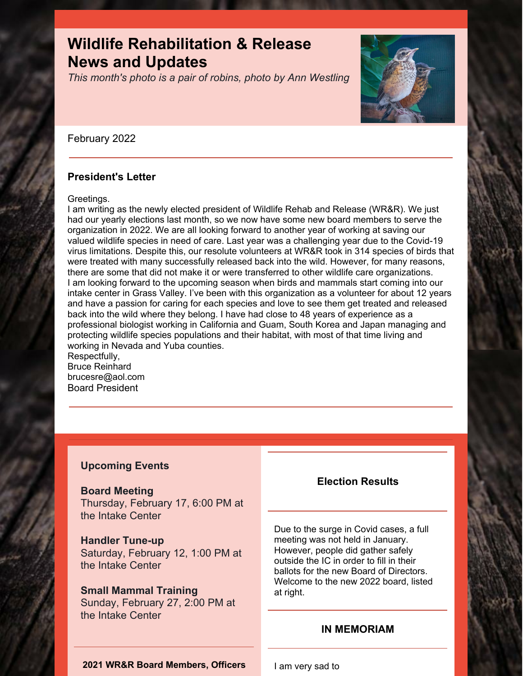# **Wildlife Rehabilitation & Release News and Updates**

*This month's photo is a pair of robins, photo by Ann Westling*



### February 2022

# **President's Letter**

### Greetings.

I am writing as the newly elected president of Wildlife Rehab and Release (WR&R). We just had our yearly elections last month, so we now have some new board members to serve the organization in 2022. We are all looking forward to another year of working at saving our valued wildlife species in need of care. Last year was a challenging year due to the Covid-19 virus limitations. Despite this, our resolute volunteers at WR&R took in 314 species of birds that were treated with many successfully released back into the wild. However, for many reasons, there are some that did not make it or were transferred to other wildlife care organizations. I am looking forward to the upcoming season when birds and mammals start coming into our intake center in Grass Valley. I've been with this organization as a volunteer for about 12 years and have a passion for caring for each species and love to see them get treated and released back into the wild where they belong. I have had close to 48 years of experience as a professional biologist working in California and Guam, South Korea and Japan managing and protecting wildlife species populations and their habitat, with most of that time living and working in Nevada and Yuba counties. Respectfully,

Bruce Reinhard brucesre@aol.com Board President

# **Upcoming Events**

# **Board Meeting**

Thursday, February 17, 6:00 PM at the Intake Center

# **Handler Tune-up**

Saturday, February 12, 1:00 PM at the Intake Center

# **Small Mammal Training**

Sunday, February 27, 2:00 PM at the Intake Center

# **Election Results**

Due to the surge in Covid cases, a full meeting was not held in January. However, people did gather safely outside the IC in order to fill in their ballots for the new Board of Directors. Welcome to the new 2022 board, listed at right.

# **IN MEMORIAM**

**2021 WR&R Board Members, Officers**

I am very sad to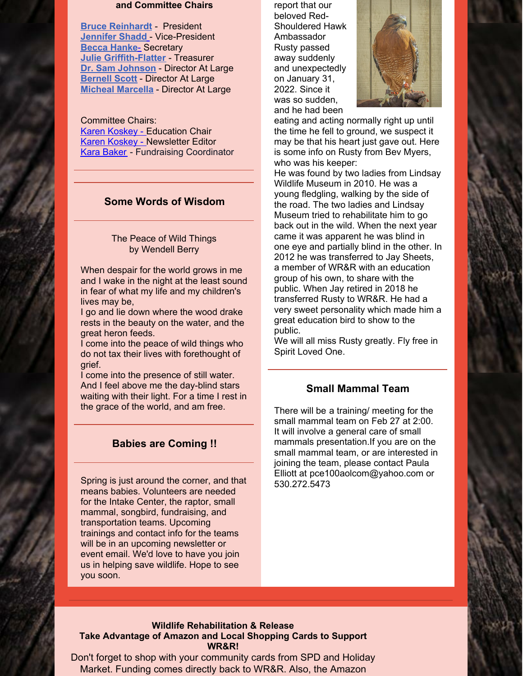#### **and Committee Chairs**

**Bruce [Reinhardt](mailto:brucesre@aol.com)** - President **[Jennifer](mailto:JLShadd@comcast.net) Shadd** - Vice-President **Becca Hanke**[-](mailto:mlypeterson@comcast.net) Secretary **Julie [Griffith-Flatter](mailto:jlgriff@att.net)** - Treasurer **Dr. Sam Johnson** - Director At Large **[Bernell](mailto:bsscott1@comcast.net) Scott** - Director At Large **Micheal [Marcella](mailto:tomatowazoo@yahoo.com)** - Director At Large

Committee Chairs: Karen [Koskey](mailto:kkosk6565@gmail.com) - Education Chair Karen [Koskey](mailto:kkosk6565@gmail.com) - Newsletter Editor Kara Baker - Fundraising Coordinator

### **Some Words of Wisdom**

#### The Peace of Wild Things by Wendell Berry

When despair for the world grows in me and I wake in the night at the least sound in fear of what my life and my children's lives may be,

I go and lie down where the wood drake rests in the beauty on the water, and the great heron feeds.

I come into the peace of wild things who do not tax their lives with forethought of grief.

I come into the presence of still water. And I feel above me the day-blind stars waiting with their light. For a time I rest in the grace of the world, and am free.

### **Babies are Coming !!**

Spring is just around the corner, and that means babies. Volunteers are needed for the Intake Center, the raptor, small mammal, songbird, fundraising, and transportation teams. Upcoming trainings and contact info for the teams will be in an upcoming newsletter or event email. We'd love to have you join us in helping save wildlife. Hope to see you soon.

report that our beloved Red-Shouldered Hawk Ambassador Rusty passed away suddenly and unexpectedly on January 31, 2022. Since it was so sudden, and he had been



eating and acting normally right up until the time he fell to ground, we suspect it may be that his heart just gave out. Here is some info on Rusty from Bev Myers, who was his keeper:

He was found by two ladies from Lindsay Wildlife Museum in 2010. He was a young fledgling, walking by the side of the road. The two ladies and Lindsay Museum tried to rehabilitate him to go back out in the wild. When the next year came it was apparent he was blind in one eye and partially blind in the other. In 2012 he was transferred to Jay Sheets, a member of WR&R with an education group of his own, to share with the public. When Jay retired in 2018 he transferred Rusty to WR&R. He had a very sweet personality which made him a great education bird to show to the public.

We will all miss Rusty greatly. Fly free in Spirit Loved One.

### **Small Mammal Team**

There will be a training/ meeting for the small mammal team on Feb 27 at 2:00. It will involve a general care of small mammals presentation.If you are on the small mammal team, or are interested in joining the team, please contact Paula Elliott at pce100aolcom@yahoo.com or 530.272.5473

#### **Wildlife Rehabilitation & Release Take Advantage of Amazon and Local Shopping Cards to Support WR&R!**

Don't forget to shop with your community cards from SPD and Holiday Market. Funding comes directly back to WR&R. Also, the Amazon